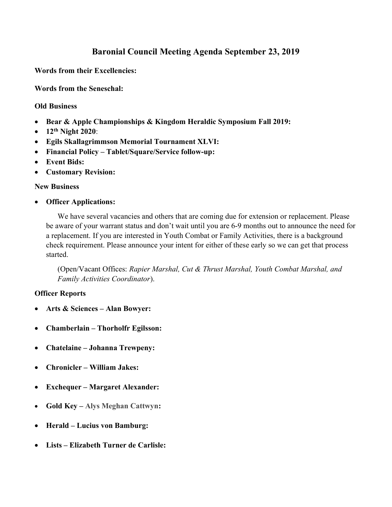## Baronial Council Meeting Agenda September 23, 2019

Words from their Excellencies:

Words from the Seneschal:

## Old Business

- Bear & Apple Championships & Kingdom Heraldic Symposium Fall 2019:
- $\bullet$  12<sup>th</sup> Night 2020:
- Egils Skallagrimmson Memorial Tournament XLVI:
- Financial Policy Tablet/Square/Service follow-up:
- Event Bids:
- Customary Revision:

## New Business

Officer Applications:

We have several vacancies and others that are coming due for extension or replacement. Please be aware of your warrant status and don't wait until you are 6-9 months out to announce the need for a replacement. If you are interested in Youth Combat or Family Activities, there is a background check requirement. Please announce your intent for either of these early so we can get that process started.

(Open/Vacant Offices: Rapier Marshal, Cut & Thrust Marshal, Youth Combat Marshal, and Family Activities Coordinator).

## Officer Reports

- Arts & Sciences Alan Bowyer:
- Chamberlain Thorholfr Egilsson:
- Chatelaine Johanna Trewpeny:
- Chronicler William Jakes:
- Exchequer Margaret Alexander:
- Gold Key Alys Meghan Cattwyn:
- Herald Lucius von Bamburg:
- Lists Elizabeth Turner de Carlisle: